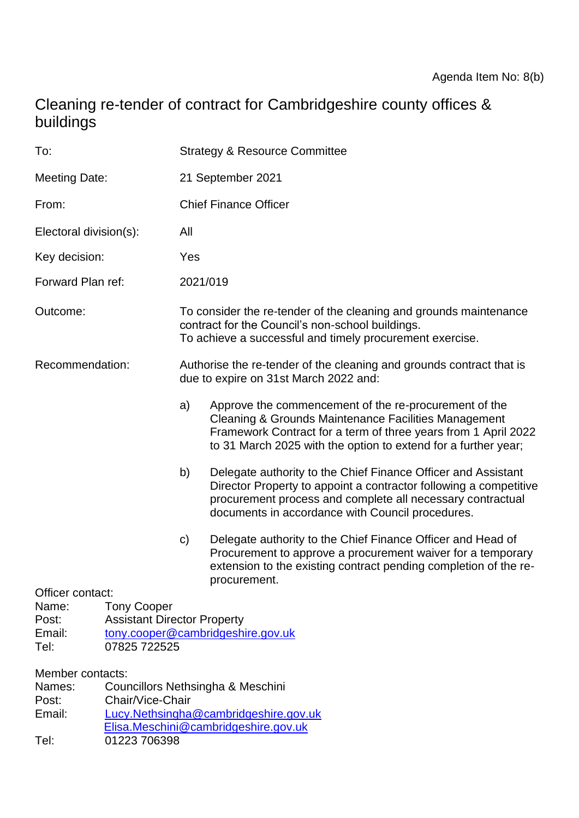# Cleaning re-tender of contract for Cambridgeshire county offices & buildings

| To:                                                                                                                                                                                     |  | <b>Strategy &amp; Resource Committee</b>                                                                                                                                          |                                                                                                                                                                                                                                                      |
|-----------------------------------------------------------------------------------------------------------------------------------------------------------------------------------------|--|-----------------------------------------------------------------------------------------------------------------------------------------------------------------------------------|------------------------------------------------------------------------------------------------------------------------------------------------------------------------------------------------------------------------------------------------------|
| <b>Meeting Date:</b>                                                                                                                                                                    |  | 21 September 2021                                                                                                                                                                 |                                                                                                                                                                                                                                                      |
| From:                                                                                                                                                                                   |  | <b>Chief Finance Officer</b>                                                                                                                                                      |                                                                                                                                                                                                                                                      |
| Electoral division(s):                                                                                                                                                                  |  | All                                                                                                                                                                               |                                                                                                                                                                                                                                                      |
| Key decision:                                                                                                                                                                           |  | Yes                                                                                                                                                                               |                                                                                                                                                                                                                                                      |
| Forward Plan ref:                                                                                                                                                                       |  | 2021/019                                                                                                                                                                          |                                                                                                                                                                                                                                                      |
| Outcome:                                                                                                                                                                                |  | To consider the re-tender of the cleaning and grounds maintenance<br>contract for the Council's non-school buildings.<br>To achieve a successful and timely procurement exercise. |                                                                                                                                                                                                                                                      |
| Recommendation:                                                                                                                                                                         |  | Authorise the re-tender of the cleaning and grounds contract that is<br>due to expire on 31st March 2022 and:                                                                     |                                                                                                                                                                                                                                                      |
|                                                                                                                                                                                         |  | a)                                                                                                                                                                                | Approve the commencement of the re-procurement of the<br>Cleaning & Grounds Maintenance Facilities Management<br>Framework Contract for a term of three years from 1 April 2022<br>to 31 March 2025 with the option to extend for a further year;    |
|                                                                                                                                                                                         |  | b)                                                                                                                                                                                | Delegate authority to the Chief Finance Officer and Assistant<br>Director Property to appoint a contractor following a competitive<br>procurement process and complete all necessary contractual<br>documents in accordance with Council procedures. |
|                                                                                                                                                                                         |  | $\mathbf{C}$                                                                                                                                                                      | Delegate authority to the Chief Finance Officer and Head of<br>Procurement to approve a procurement waiver for a temporary<br>extension to the existing contract pending completion of the re-<br>procurement.                                       |
| Officer contact:<br>Name:<br><b>Tony Cooper</b><br><b>Assistant Director Property</b><br>Post:<br>Email:<br>tony.cooper@cambridgeshire.gov.uk<br>Tel:<br>07825 722525                   |  |                                                                                                                                                                                   |                                                                                                                                                                                                                                                      |
| Member contacts:<br>Names:<br>Councillors Nethsingha & Meschini<br>Chair/Vice-Chair<br>Post:<br>Email:<br>Lucy.Nethsingha@cambridgeshire.gov.uk<br>Elisa.Meschini@cambridgeshire.gov.uk |  |                                                                                                                                                                                   |                                                                                                                                                                                                                                                      |

Tel: 01223 706398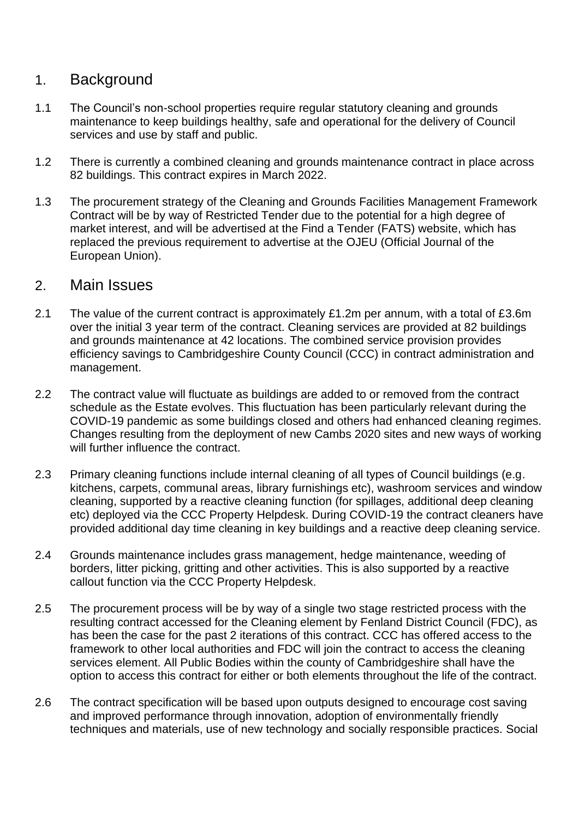### 1. Background

- 1.1 The Council's non-school properties require regular statutory cleaning and grounds maintenance to keep buildings healthy, safe and operational for the delivery of Council services and use by staff and public.
- 1.2 There is currently a combined cleaning and grounds maintenance contract in place across 82 buildings. This contract expires in March 2022.
- 1.3 The procurement strategy of the Cleaning and Grounds Facilities Management Framework Contract will be by way of Restricted Tender due to the potential for a high degree of market interest, and will be advertised at the Find a Tender (FATS) website, which has replaced the previous requirement to advertise at the OJEU (Official Journal of the European Union).

#### 2. Main Issues

- 2.1 The value of the current contract is approximately £1.2m per annum, with a total of £3.6m over the initial 3 year term of the contract. Cleaning services are provided at 82 buildings and grounds maintenance at 42 locations. The combined service provision provides efficiency savings to Cambridgeshire County Council (CCC) in contract administration and management.
- 2.2 The contract value will fluctuate as buildings are added to or removed from the contract schedule as the Estate evolves. This fluctuation has been particularly relevant during the COVID-19 pandemic as some buildings closed and others had enhanced cleaning regimes. Changes resulting from the deployment of new Cambs 2020 sites and new ways of working will further influence the contract.
- 2.3 Primary cleaning functions include internal cleaning of all types of Council buildings (e.g. kitchens, carpets, communal areas, library furnishings etc), washroom services and window cleaning, supported by a reactive cleaning function (for spillages, additional deep cleaning etc) deployed via the CCC Property Helpdesk. During COVID-19 the contract cleaners have provided additional day time cleaning in key buildings and a reactive deep cleaning service.
- 2.4 Grounds maintenance includes grass management, hedge maintenance, weeding of borders, litter picking, gritting and other activities. This is also supported by a reactive callout function via the CCC Property Helpdesk.
- 2.5 The procurement process will be by way of a single two stage restricted process with the resulting contract accessed for the Cleaning element by Fenland District Council (FDC), as has been the case for the past 2 iterations of this contract. CCC has offered access to the framework to other local authorities and FDC will join the contract to access the cleaning services element. All Public Bodies within the county of Cambridgeshire shall have the option to access this contract for either or both elements throughout the life of the contract.
- 2.6 The contract specification will be based upon outputs designed to encourage cost saving and improved performance through innovation, adoption of environmentally friendly techniques and materials, use of new technology and socially responsible practices. Social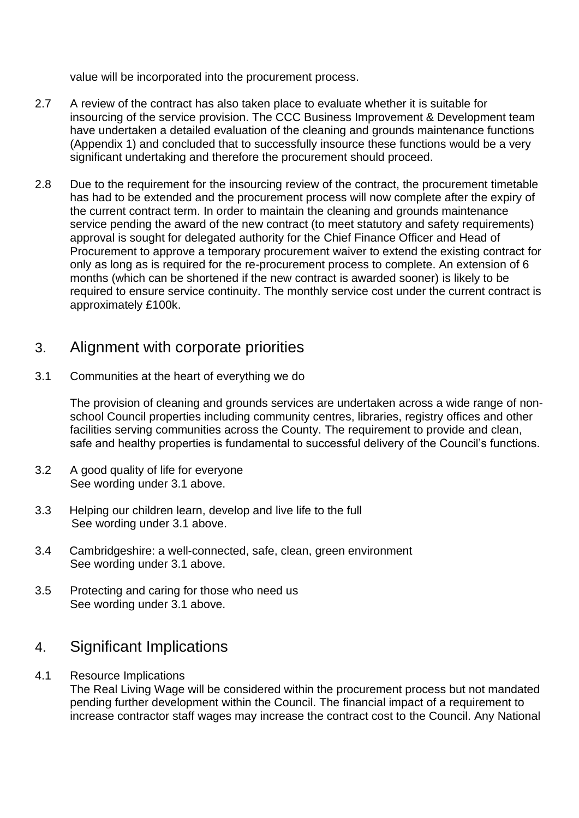value will be incorporated into the procurement process.

- 2.7 A review of the contract has also taken place to evaluate whether it is suitable for insourcing of the service provision. The CCC Business Improvement & Development team have undertaken a detailed evaluation of the cleaning and grounds maintenance functions (Appendix 1) and concluded that to successfully insource these functions would be a very significant undertaking and therefore the procurement should proceed.
- 2.8 Due to the requirement for the insourcing review of the contract, the procurement timetable has had to be extended and the procurement process will now complete after the expiry of the current contract term. In order to maintain the cleaning and grounds maintenance service pending the award of the new contract (to meet statutory and safety requirements) approval is sought for delegated authority for the Chief Finance Officer and Head of Procurement to approve a temporary procurement waiver to extend the existing contract for only as long as is required for the re-procurement process to complete. An extension of 6 months (which can be shortened if the new contract is awarded sooner) is likely to be required to ensure service continuity. The monthly service cost under the current contract is approximately £100k.

### 3. Alignment with corporate priorities

3.1 Communities at the heart of everything we do

The provision of cleaning and grounds services are undertaken across a wide range of nonschool Council properties including community centres, libraries, registry offices and other facilities serving communities across the County. The requirement to provide and clean, safe and healthy properties is fundamental to successful delivery of the Council's functions.

- 3.2 A good quality of life for everyone See wording under 3.1 above.
- 3.3 Helping our children learn, develop and live life to the full See wording under 3.1 above.
- 3.4 Cambridgeshire: a well-connected, safe, clean, green environment See wording under 3.1 above.
- 3.5 Protecting and caring for those who need us See wording under 3.1 above.

### 4. Significant Implications

4.1 Resource Implications

The Real Living Wage will be considered within the procurement process but not mandated pending further development within the Council. The financial impact of a requirement to increase contractor staff wages may increase the contract cost to the Council. Any National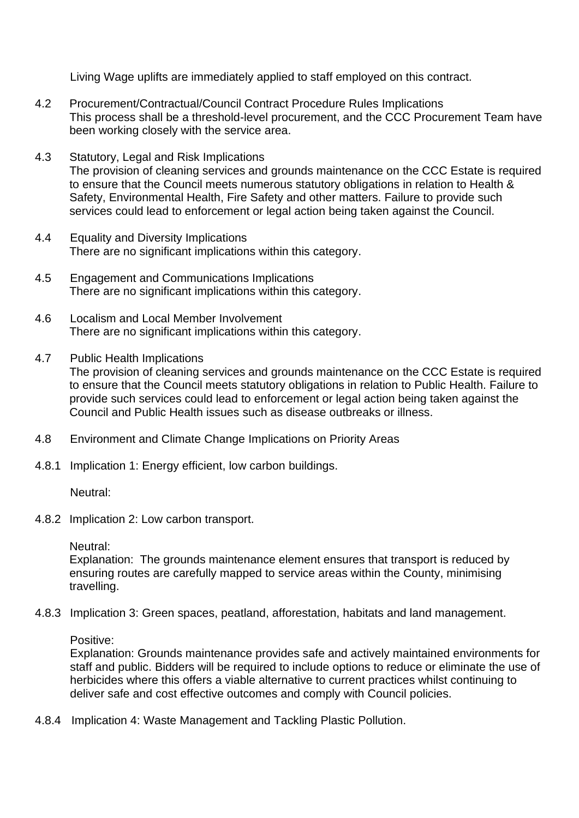Living Wage uplifts are immediately applied to staff employed on this contract.

- 4.2 Procurement/Contractual/Council Contract Procedure Rules Implications This process shall be a threshold-level procurement, and the CCC Procurement Team have been working closely with the service area.
- 4.3 Statutory, Legal and Risk Implications The provision of cleaning services and grounds maintenance on the CCC Estate is required to ensure that the Council meets numerous statutory obligations in relation to Health & Safety, Environmental Health, Fire Safety and other matters. Failure to provide such services could lead to enforcement or legal action being taken against the Council.
- 4.4 Equality and Diversity Implications There are no significant implications within this category.
- 4.5 Engagement and Communications Implications There are no significant implications within this category.
- 4.6 Localism and Local Member Involvement There are no significant implications within this category.
- 4.7 Public Health Implications

The provision of cleaning services and grounds maintenance on the CCC Estate is required to ensure that the Council meets statutory obligations in relation to Public Health. Failure to provide such services could lead to enforcement or legal action being taken against the Council and Public Health issues such as disease outbreaks or illness.

- 4.8 Environment and Climate Change Implications on Priority Areas
- 4.8.1 Implication 1: Energy efficient, low carbon buildings.

Neutral:

4.8.2 Implication 2: Low carbon transport.

Neutral:

Explanation: The grounds maintenance element ensures that transport is reduced by ensuring routes are carefully mapped to service areas within the County, minimising travelling.

4.8.3 Implication 3: Green spaces, peatland, afforestation, habitats and land management.

Positive:

Explanation: Grounds maintenance provides safe and actively maintained environments for staff and public. Bidders will be required to include options to reduce or eliminate the use of herbicides where this offers a viable alternative to current practices whilst continuing to deliver safe and cost effective outcomes and comply with Council policies.

4.8.4 Implication 4: Waste Management and Tackling Plastic Pollution.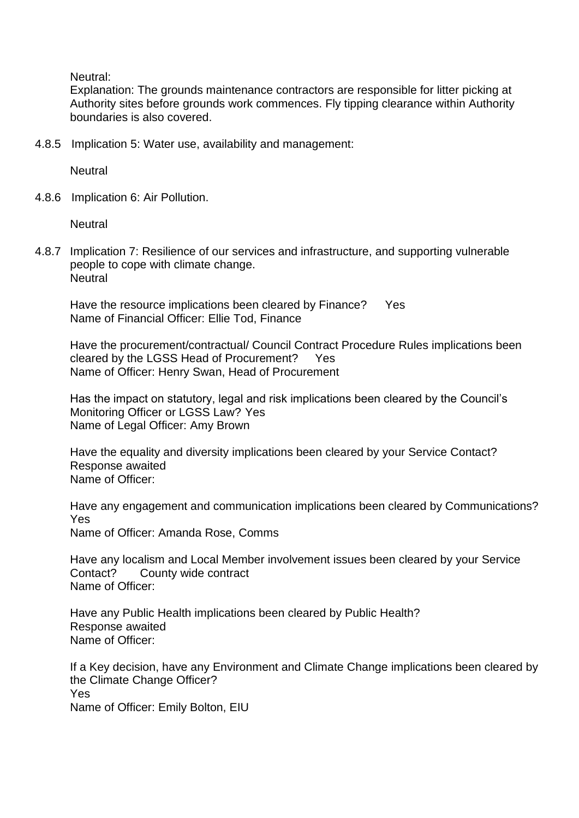Neutral:

Explanation: The grounds maintenance contractors are responsible for litter picking at Authority sites before grounds work commences. Fly tipping clearance within Authority boundaries is also covered.

4.8.5 Implication 5: Water use, availability and management:

**Neutral** 

4.8.6 Implication 6: Air Pollution.

**Neutral** 

4.8.7 Implication 7: Resilience of our services and infrastructure, and supporting vulnerable people to cope with climate change. **Neutral** 

Have the resource implications been cleared by Finance? Yes Name of Financial Officer: Ellie Tod, Finance

Have the procurement/contractual/ Council Contract Procedure Rules implications been cleared by the LGSS Head of Procurement? Yes Name of Officer: Henry Swan, Head of Procurement

Has the impact on statutory, legal and risk implications been cleared by the Council's Monitoring Officer or LGSS Law? Yes Name of Legal Officer: Amy Brown

Have the equality and diversity implications been cleared by your Service Contact? Response awaited Name of Officer:

Have any engagement and communication implications been cleared by Communications? Yes Name of Officer: Amanda Rose, Comms

Have any localism and Local Member involvement issues been cleared by your Service Contact? County wide contract Name of Officer:

Have any Public Health implications been cleared by Public Health? Response awaited Name of Officer:

If a Key decision, have any Environment and Climate Change implications been cleared by the Climate Change Officer? Yes Name of Officer: Emily Bolton, EIU